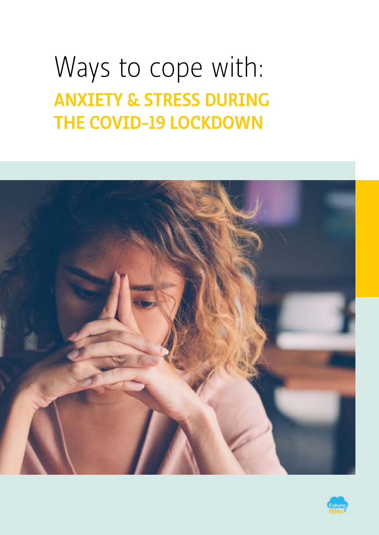# ANXIETY & STRESS DURING THE COVID-19 LOCKDOWN Ways to cope with:



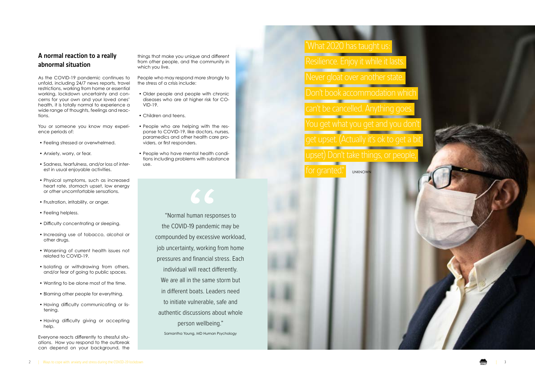"Normal human responses to the COVID-19 pandemic may be compounded by excessive workload, job uncertainty, working from home pressures and financial stress. Each individual will react differently. We are all in the same storm but in different boats. Leaders need to initiate vulnerable, safe and authentic discussions about whole person wellbeing."

Samantha Young, MD Human Psychology



You or someone you know may experience periods of:

3

#### A normal reaction to a really abnormal situation

As the COVID-19 pandemic continues to unfold, including 24/7 news reports, travel restrictions, working from home or essential working, lockdown uncertainty and con cerns for your own and your loved ones' health, it is totally normal to experience a wide range of thoughts, feelings and reac tions.

## UNKNOWN Don't book accommodation which Resilience. Enjoy it while it lasts. What 2020 has taught us: can't be cancelled. Anything goes. You get what you get and you don't upset) Don't take things, or people, for granted



- Feeling stressed or overwhelmed.
- Anxiety, worry, or fear.
- Sadness, tearfulness, and/or loss of inter est in usual enjoyable activities.
- Physical symptoms, such as increased heart rate, stomach upset, low energy or other uncomfortable sensations.
- Frustration, irritability, or anger.
- Feeling helpless.
- Difficulty concentrating or sleeping.
- Increasing use of tobacco, alcohol or other drugs.
- Worsening of current health issues not related to COVID-19.
- Isolating or withdrawing from others, and/or fear of going to public spaces.
- Wanting to be alone most of the time.
- Blaming other people for everything.
- Having difficulty communicating or lis tening.
- Having difficulty giving or accepting help.

Everyone reacts differently to stressful situ ations. How you respond to the outbreak can depend on your background, the things that make you unique and different from other people, and the community in which you live.

People who may respond more strongly to the stress of a crisis include:

- Older people and people with chronic diseases who are at higher risk for CO - VID-19.
- Children and teens.
- People who are helping with the res ponse to COVID-19, like doctors, nurses, paramedics and other health care pro viders, or first responders.
- People who have mental health condi tions including problems with substance use.